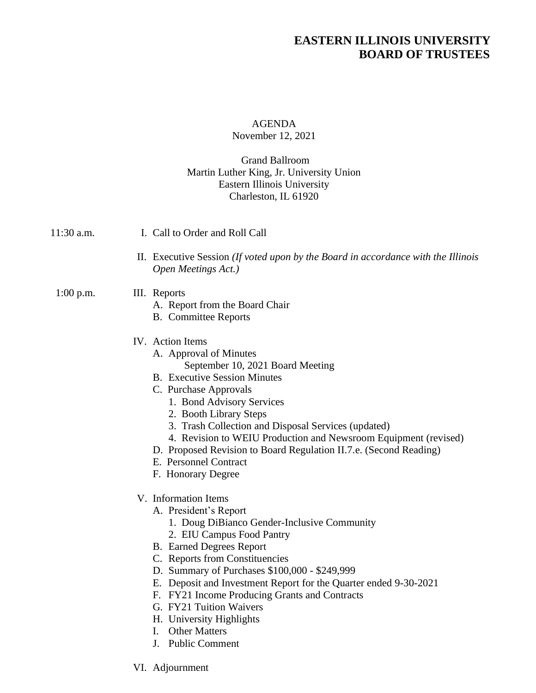# **EASTERN ILLINOIS UNIVERSITY BOARD OF TRUSTEES**

### AGENDA November 12, 2021

#### Grand Ballroom Martin Luther King, Jr. University Union Eastern Illinois University Charleston, IL 61920

| 11:30 a.m.  | I. Call to Order and Roll Call                                                                                                                                                                                                                                                                                                                                                                                                                                       |
|-------------|----------------------------------------------------------------------------------------------------------------------------------------------------------------------------------------------------------------------------------------------------------------------------------------------------------------------------------------------------------------------------------------------------------------------------------------------------------------------|
|             | II. Executive Session (If voted upon by the Board in accordance with the Illinois<br>Open Meetings Act.)                                                                                                                                                                                                                                                                                                                                                             |
| $1:00$ p.m. | III. Reports<br>A. Report from the Board Chair<br><b>B.</b> Committee Reports                                                                                                                                                                                                                                                                                                                                                                                        |
|             | IV. Action Items<br>A. Approval of Minutes<br>September 10, 2021 Board Meeting<br><b>B.</b> Executive Session Minutes<br>C. Purchase Approvals<br>1. Bond Advisory Services<br>2. Booth Library Steps<br>3. Trash Collection and Disposal Services (updated)<br>4. Revision to WEIU Production and Newsroom Equipment (revised)<br>D. Proposed Revision to Board Regulation II.7.e. (Second Reading)<br>E. Personnel Contract<br>F. Honorary Degree                  |
|             | V. Information Items<br>A. President's Report<br>1. Doug DiBianco Gender-Inclusive Community<br>2. EIU Campus Food Pantry<br><b>B.</b> Earned Degrees Report<br>C. Reports from Constituencies<br>D. Summary of Purchases \$100,000 - \$249,999<br>E. Deposit and Investment Report for the Quarter ended 9-30-2021<br>F. FY21 Income Producing Grants and Contracts<br>G. FY21 Tuition Waivers<br>H. University Highlights<br>I. Other Matters<br>J. Public Comment |

VI. Adjournment